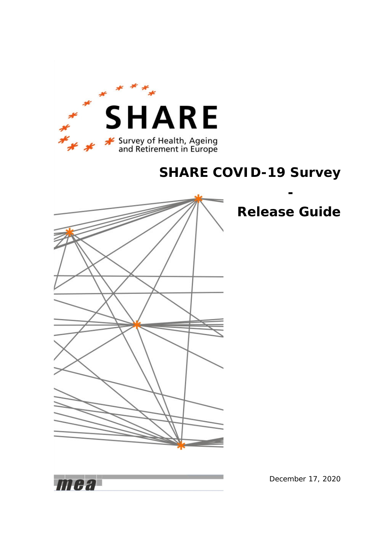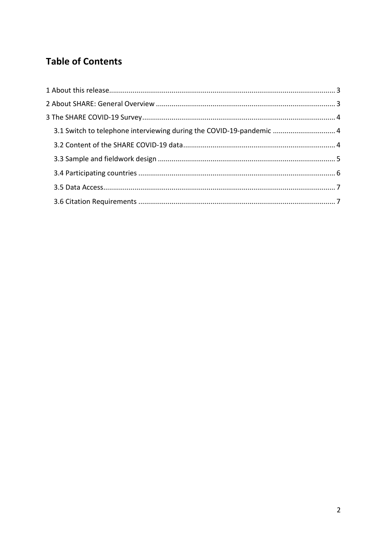# **Table of Contents**

| 3.1 Switch to telephone interviewing during the COVID-19-pandemic  4 |  |
|----------------------------------------------------------------------|--|
|                                                                      |  |
|                                                                      |  |
|                                                                      |  |
|                                                                      |  |
|                                                                      |  |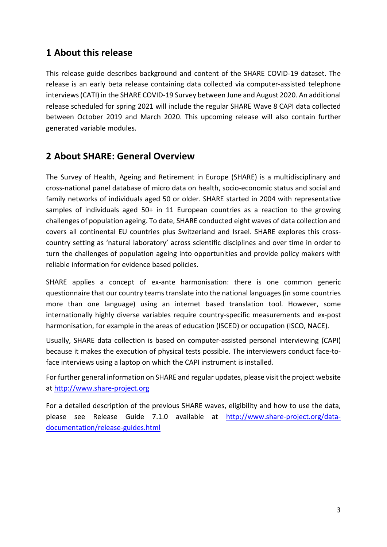## <span id="page-2-0"></span>**1 About this release**

This release guide describes background and content of the SHARE COVID-19 dataset. The release is an early beta release containing data collected via computer-assisted telephone interviews (CATI) in the SHARE COVID-19 Survey between June and August 2020. An additional release scheduled for spring 2021 will include the regular SHARE Wave 8 CAPI data collected between October 2019 and March 2020. This upcoming release will also contain further generated variable modules.

## <span id="page-2-1"></span>**2 About SHARE: General Overview**

The Survey of Health, Ageing and Retirement in Europe (SHARE) is a multidisciplinary and cross-national panel database of micro data on health, socio-economic status and social and family networks of individuals aged 50 or older. SHARE started in 2004 with representative samples of individuals aged 50+ in 11 European countries as a reaction to the growing challenges of population ageing. To date, SHARE conducted eight waves of data collection and covers all continental EU countries plus Switzerland and Israel. SHARE explores this crosscountry setting as 'natural laboratory' across scientific disciplines and over time in order to turn the challenges of population ageing into opportunities and provide policy makers with reliable information for evidence based policies.

SHARE applies a concept of ex-ante harmonisation: there is one common generic questionnaire that our country teams translate into the national languages (in some countries more than one language) using an internet based translation tool. However, some internationally highly diverse variables require country-specific measurements and ex-post harmonisation, for example in the areas of education (ISCED) or occupation (ISCO, NACE).

Usually, SHARE data collection is based on computer-assisted personal interviewing (CAPI) because it makes the execution of physical tests possible. The interviewers conduct face-toface interviews using a laptop on which the CAPI instrument is installed.

For further general information on SHARE and regular updates, please visit the project website at [http://www.share-project.org](http://www.share-project.org/)

For a detailed description of the previous SHARE waves, eligibility and how to use the data, please see Release Guide 7.1.0 available at [http://www.share-project.org/data](http://www.share-project.org/data-documentation/release-guides.html)[documentation/release-guides.html](http://www.share-project.org/data-documentation/release-guides.html)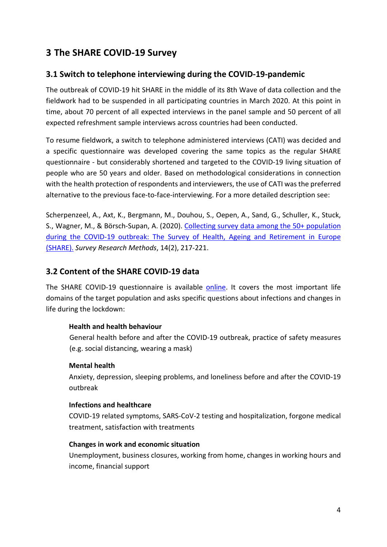## <span id="page-3-0"></span>**3 The SHARE COVID-19 Survey**

### <span id="page-3-1"></span>**3.1 Switch to telephone interviewing during the COVID-19-pandemic**

The outbreak of COVID-19 hit SHARE in the middle of its 8th Wave of data collection and the fieldwork had to be suspended in all participating countries in March 2020. At this point in time, about 70 percent of all expected interviews in the panel sample and 50 percent of all expected refreshment sample interviews across countries had been conducted.

To resume fieldwork, a switch to telephone administered interviews (CATI) was decided and a specific questionnaire was developed covering the same topics as the regular SHARE questionnaire - but considerably shortened and targeted to the COVID-19 living situation of people who are 50 years and older. Based on methodological considerations in connection with the health protection of respondents and interviewers, the use of CATI was the preferred alternative to the previous face-to-face-interviewing. For a more detailed description see:

Scherpenzeel, A., Axt, K., Bergmann, M., Douhou, S., Oepen, A., Sand, G., Schuller, K., Stuck, S., Wagner, M., & Börsch-Supan, A. (2020). [Collecting survey data among the 50+ population](https://doi.org/10.18148/srm/2020.v14i2.7738)  [during the COVID-19 outbreak: The Survey of Health, Ageing and Retirement in Europe](https://doi.org/10.18148/srm/2020.v14i2.7738)  [\(SHARE\).](https://doi.org/10.18148/srm/2020.v14i2.7738) *Survey Research Methods*, 14(2), 217-221.

### <span id="page-3-2"></span>**3.2 Content of the SHARE COVID-19 data**

The SHARE COVID-19 questionnaire is available [online.](http://www.share-project.org/fileadmin/pdf_questionnaire_COVID-19/SHAREw8_COVID19_qnn_20200602_routing.pdf) It covers the most important life domains of the target population and asks specific questions about infections and changes in life during the lockdown:

#### **Health and health behaviour**

General health before and after the COVID-19 outbreak, practice of safety measures (e.g. social distancing, wearing a mask)

#### **Mental health**

Anxiety, depression, sleeping problems, and loneliness before and after the COVID-19 outbreak

#### **Infections and healthcare**

COVID-19 related symptoms, SARS-CoV-2 testing and hospitalization, forgone medical treatment, satisfaction with treatments

#### **Changes in work and economic situation**

Unemployment, business closures, working from home, changes in working hours and income, financial support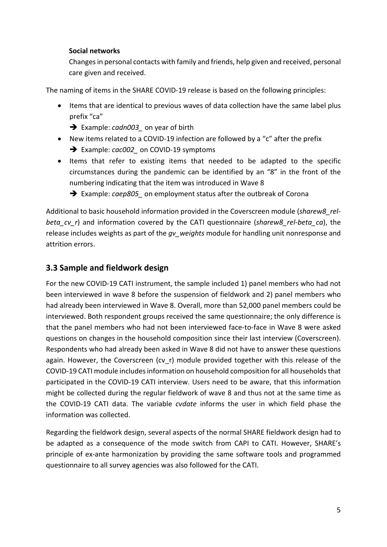#### **Social networks**

Changes in personal contacts with family and friends, help given and received, personal care given and received.

The naming of items in the SHARE COVID-19 release is based on the following principles:

- Items that are identical to previous waves of data collection have the same label plus prefix "ca"
	- Example: *cadn003\_* on year of birth
- New items related to a COVID-19 infection are followed by a "c" after the prefix → Example: *cac002* on COVID-19 symptoms
- Items that refer to existing items that needed to be adapted to the specific circumstances during the pandemic can be identified by an "8" in the front of the numbering indicating that the item was introduced in Wave 8
	- → Example: *caep805* on employment status after the outbreak of Corona

Additional to basic household information provided in the Coverscreen module (*sharew8\_relbeta\_cv\_r*) and information covered by the CATI questionnaire (*sharew8\_rel-beta\_ca*), the release includes weights as part of the *gv\_weights* module for handling unit nonresponse and attrition errors.

### <span id="page-4-0"></span>**3.3 Sample and fieldwork design**

For the new COVID-19 CATI instrument, the sample included 1) panel members who had not been interviewed in wave 8 before the suspension of fieldwork and 2) panel members who had already been interviewed in Wave 8. Overall, more than 52,000 panel members could be interviewed. Both respondent groups received the same questionnaire; the only difference is that the panel members who had not been interviewed face-to-face in Wave 8 were asked questions on changes in the household composition since their last interview (Coverscreen). Respondents who had already been asked in Wave 8 did not have to answer these questions again. However, the Coverscreen (cv\_r) module provided together with this release of the COVID-19 CATI module includes information on household composition for all households that participated in the COVID-19 CATI interview. Users need to be aware, that this information might be collected during the regular fieldwork of wave 8 and thus not at the same time as the COVID-19 CATI data. The variable *cvdate* informs the user in which field phase the information was collected.

Regarding the fieldwork design, several aspects of the normal SHARE fieldwork design had to be adapted as a consequence of the mode switch from CAPI to CATI. However, SHARE's principle of ex-ante harmonization by providing the same software tools and programmed questionnaire to all survey agencies was also followed for the CATI.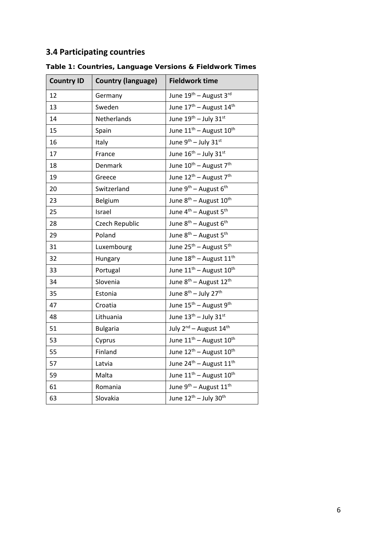## <span id="page-5-0"></span>**3.4 Participating countries**

| <b>Country ID</b> | <b>Country (language)</b> | <b>Fieldwork time</b>                           |
|-------------------|---------------------------|-------------------------------------------------|
| 12                | Germany                   | June 19th - August 3rd                          |
| 13                | Sweden                    | June 17 <sup>th</sup> - August 14 <sup>th</sup> |
| 14                | Netherlands               | June 19th - July 31st                           |
| 15                | Spain                     | June 11 <sup>th</sup> - August 10 <sup>th</sup> |
| 16                | Italy                     | June 9 <sup>th</sup> - July 31st                |
| 17                | France                    | June $16^{\text{th}}$ - July 31st               |
| 18                | Denmark                   | June 10 <sup>th</sup> - August 7 <sup>th</sup>  |
| 19                | Greece                    | June 12 <sup>th</sup> - August 7 <sup>th</sup>  |
| 20                | Switzerland               | June 9 <sup>th</sup> – August 6 <sup>th</sup>   |
| 23                | Belgium                   | June 8 <sup>th</sup> – August 10 <sup>th</sup>  |
| 25                | Israel                    | June 4 <sup>th</sup> – August 5 <sup>th</sup>   |
| 28                | Czech Republic            | June 8 <sup>th</sup> - August 6 <sup>th</sup>   |
| 29                | Poland                    | June 8 <sup>th</sup> – August 5 <sup>th</sup>   |
| 31                | Luxembourg                | June $25^{th}$ – August $5^{th}$                |
| 32                | Hungary                   | June 18 <sup>th</sup> - August 11 <sup>th</sup> |
| 33                | Portugal                  | June 11 <sup>th</sup> - August 10 <sup>th</sup> |
| 34                | Slovenia                  | June $8^{th}$ – August 12 <sup>th</sup>         |
| 35                | Estonia                   | June 8 <sup>th</sup> - July 27 <sup>th</sup>    |
| 47                | Croatia                   | June 15 <sup>th</sup> – August 9 <sup>th</sup>  |
| 48                | Lithuania                 | June 13 <sup>th</sup> - July 31st               |
| 51                | <b>Bulgaria</b>           | July 2 <sup>nd</sup> - August 14 <sup>th</sup>  |
| 53                | Cyprus                    | June $11^{th}$ – August $10^{th}$               |
| 55                | Finland                   | June 12 <sup>th</sup> – August 10 <sup>th</sup> |
| 57                | Latvia                    | June 24 <sup>th</sup> - August 11 <sup>th</sup> |
| 59                | Malta                     | June 11 <sup>th</sup> - August 10 <sup>th</sup> |
| 61                | Romania                   | June 9 <sup>th</sup> – August 11 <sup>th</sup>  |
| 63                | Slovakia                  | June 12 <sup>th</sup> - July 30 <sup>th</sup>   |

**Table 1: Countries, Language Versions & Fieldwork Times**